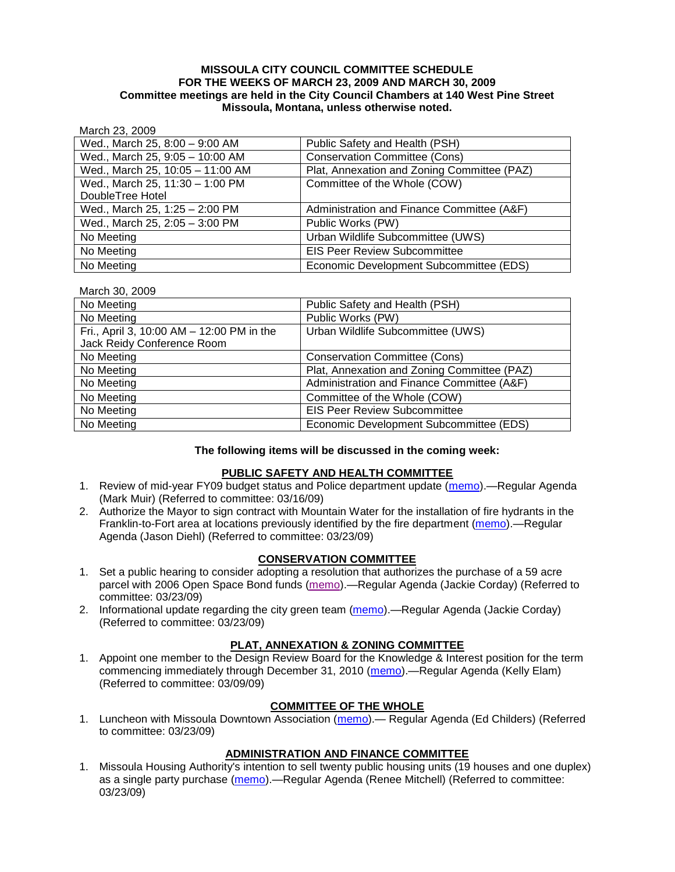### **MISSOULA CITY COUNCIL COMMITTEE SCHEDULE FOR THE WEEKS OF MARCH 23, 2009 AND MARCH 30, 2009 Committee meetings are held in the City Council Chambers at 140 West Pine Street Missoula, Montana, unless otherwise noted.**

### March 23, 2009

| Wed., March 25, 8:00 - 9:00 AM   | Public Safety and Health (PSH)              |
|----------------------------------|---------------------------------------------|
| Wed., March 25, 9:05 - 10:00 AM  | <b>Conservation Committee (Cons)</b>        |
| Wed., March 25, 10:05 - 11:00 AM | Plat, Annexation and Zoning Committee (PAZ) |
| Wed., March 25, 11:30 - 1:00 PM  | Committee of the Whole (COW)                |
| DoubleTree Hotel                 |                                             |
| Wed., March 25, 1:25 - 2:00 PM   | Administration and Finance Committee (A&F)  |
| Wed., March 25, 2:05 - 3:00 PM   | Public Works (PW)                           |
| No Meeting                       | Urban Wildlife Subcommittee (UWS)           |
| No Meeting                       | <b>EIS Peer Review Subcommittee</b>         |
| No Meeting                       | Economic Development Subcommittee (EDS)     |

#### March 30, 2009

| No Meeting                                | Public Safety and Health (PSH)              |
|-------------------------------------------|---------------------------------------------|
| No Meeting                                | Public Works (PW)                           |
| Fri., April 3, 10:00 AM - 12:00 PM in the | Urban Wildlife Subcommittee (UWS)           |
| Jack Reidy Conference Room                |                                             |
| No Meeting                                | <b>Conservation Committee (Cons)</b>        |
| No Meeting                                | Plat, Annexation and Zoning Committee (PAZ) |
| No Meeting                                | Administration and Finance Committee (A&F)  |
| No Meeting                                | Committee of the Whole (COW)                |
| No Meeting                                | <b>EIS Peer Review Subcommittee</b>         |
| No Meeting                                | Economic Development Subcommittee (EDS)     |

#### **The following items will be discussed in the coming week:**

### **PUBLIC SAFETY AND HEALTH COMMITTEE**

- 1. Review of mid-year FY09 budget status and Police department update [\(memo\)](ftp://ftp.ci.missoula.mt.us/Packets/Council/2009/2009-03-16/Referrals/PoliceDeptUpdateMidYearBudgetRef.pdf).—Regular Agenda (Mark Muir) (Referred to committee: 03/16/09)
- 2. Authorize the Mayor to sign contract with Mountain Water for the installation of fire hydrants in the Franklin-to-Fort area at locations previously identified by the fire department [\(memo\)](ftp://ftp.ci.missoula.mt.us/Packets/Council/2009/2009-03-23/Referrals/PSHRef3F2FHydrants090320.pdf).—Regular Agenda (Jason Diehl) (Referred to committee: 03/23/09)

### **CONSERVATION COMMITTEE**

- 1. Set a public hearing to consider adopting a resolution that authorizes the purchase of a 59 acre parcel with 2006 Open Space Bond funds [\(memo\)](ftp://ftp.ci.missoula.mt.us/Packets/Council/2009/2009-03-23/Referrals/CCReferralEJumbo.pdf).—Regular Agenda (Jackie Corday) (Referred to committee: 03/23/09)
- 2. Informational update regarding the city green team [\(memo\)](ftp://ftp.ci.missoula.mt.us/Packets/Council/2009/2009-03-23/Referrals/CCGreenTeamReferral3-20-09.pdf).—Regular Agenda (Jackie Corday) (Referred to committee: 03/23/09)

### **PLAT, ANNEXATION & ZONING COMMITTEE**

1. Appoint one member to the Design Review Board for the Knowledge & Interest position for the term commencing immediately through December 31, 2010 [\(memo\)](ftp://ftp.ci.missoula.mt.us/Packets/Council/2009/2009-03-09/Referrals/090311DRBreferal.pdf).—Regular Agenda (Kelly Elam) (Referred to committee: 03/09/09)

### **COMMITTEE OF THE WHOLE**

1. Luncheon with Missoula Downtown Association [\(memo\)](ftp://ftp.ci.missoula.mt.us/Packets/Council/2009/2009-03-23/Referrals/MDALuncheonRef.pdf).— Regular Agenda (Ed Childers) (Referred to committee: 03/23/09)

### **ADMINISTRATION AND FINANCE COMMITTEE**

1. Missoula Housing Authority's intention to sell twenty public housing units (19 houses and one duplex) as a single party purchase [\(memo\)](ftp://ftp.ci.missoula.mt.us/Packets/Council/2009/2009-03-23/Referrals/09MHA.pdf).—Regular Agenda (Renee Mitchell) (Referred to committee: 03/23/09)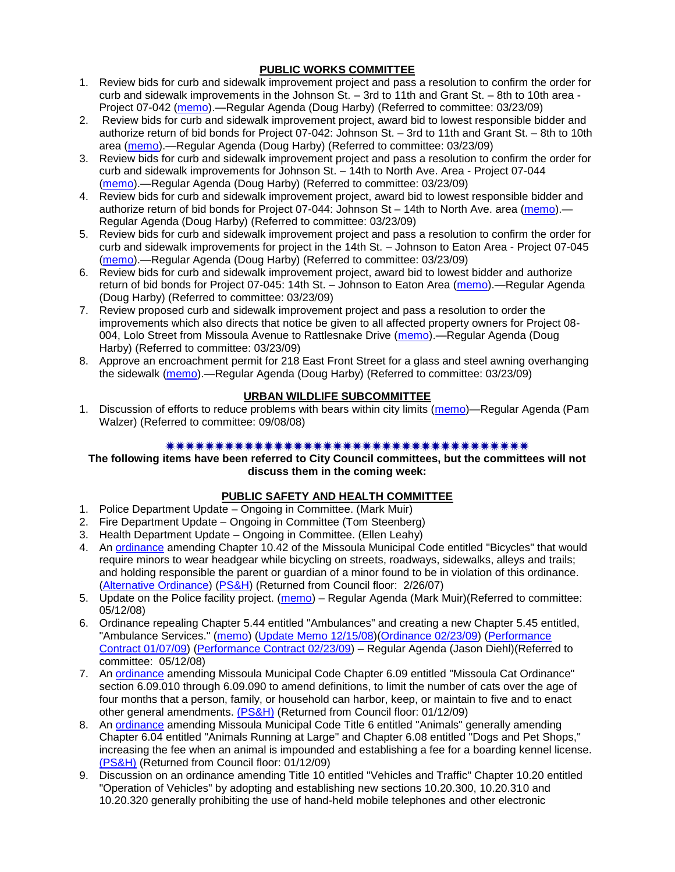# **PUBLIC WORKS COMMITTEE**

- 1. Review bids for curb and sidewalk improvement project and pass a resolution to confirm the order for curb and sidewalk improvements in the Johnson St. – 3rd to 11th and Grant St. – 8th to 10th area - Project 07-042 [\(memo\)](ftp://ftp.ci.missoula.mt.us/packets/council/2009/2009-03-23/Referrals/ConfirmOrder07042REF.pdf).—Regular Agenda (Doug Harby) (Referred to committee: 03/23/09)
- 2. Review bids for curb and sidewalk improvement project, award bid to lowest responsible bidder and authorize return of bid bonds for Project 07-042: Johnson St. – 3rd to 11th and Grant St. – 8th to 10th area [\(memo\)](ftp://ftp.ci.missoula.mt.us/packets/council/2009/2009-03-23/Referrals/BidAward07042REF.pdf).—Regular Agenda (Doug Harby) (Referred to committee: 03/23/09)
- 3. Review bids for curb and sidewalk improvement project and pass a resolution to confirm the order for curb and sidewalk improvements for Johnson St. – 14th to North Ave. Area - Project 07-044 [\(memo\)](ftp://ftp.ci.missoula.mt.us/packets/council/2009/2009-03-23/Referrals/ConfirmOrder07044REF.pdf).—Regular Agenda (Doug Harby) (Referred to committee: 03/23/09)
- 4. Review bids for curb and sidewalk improvement project, award bid to lowest responsible bidder and authorize return of bid bonds for Project 07-044: Johnson St – 14th to North Ave. area [\(memo\)](ftp://ftp.ci.missoula.mt.us/packets/council/2009/2009-03-23/Referrals/BidAward07044REF.pdf).— Regular Agenda (Doug Harby) (Referred to committee: 03/23/09)
- 5. Review bids for curb and sidewalk improvement project and pass a resolution to confirm the order for curb and sidewalk improvements for project in the 14th St. – Johnson to Eaton Area - Project 07-045 [\(memo\)](ftp://ftp.ci.missoula.mt.us/packets/council/2009/2009-03-23/Referrals/ConfirmOrder07045REF.pdf).—Regular Agenda (Doug Harby) (Referred to committee: 03/23/09)
- 6. Review bids for curb and sidewalk improvement project, award bid to lowest bidder and authorize return of bid bonds for Project 07-045: 14th St. - Johnson to Eaton Area [\(memo\)](ftp://ftp.ci.missoula.mt.us/packets/council/2009/2009-03-23/Referrals/BidAward07045REF.pdf).—Regular Agenda (Doug Harby) (Referred to committee: 03/23/09)
- 7. Review proposed curb and sidewalk improvement project and pass a resolution to order the improvements which also directs that notice be given to all affected property owners for Project 08- 004, Lolo Street from Missoula Avenue to Rattlesnake Drive [\(memo\)](ftp://ftp.ci.missoula.mt.us/packets/council/2009/2009-03-23/Referrals/Order08004REF.pdf).—Regular Agenda (Doug Harby) (Referred to committee: 03/23/09)
- 8. Approve an encroachment permit for 218 East Front Street for a glass and steel awning overhanging the sidewalk [\(memo\)](ftp://ftp.ci.missoula.mt.us/packets/council/2009/2009-03-23/Referrals/Encroach218FrontREF.pdf).—Regular Agenda (Doug Harby) (Referred to committee: 03/23/09)

# **URBAN WILDLIFE SUBCOMMITTEE**

1. Discussion of efforts to reduce problems with bears within city limits [\(memo\)](ftp://ftp.ci.missoula.mt.us/Packets/Council/2008/2008-09-08/Referrals/UWSBearReferral.pdf)—Regular Agenda (Pam Walzer) (Referred to committee: 09/08/08)

### 

### **The following items have been referred to City Council committees, but the committees will not discuss them in the coming week:**

### **PUBLIC SAFETY AND HEALTH COMMITTEE**

- 1. Police Department Update Ongoing in Committee. (Mark Muir)
- 2. Fire Department Update Ongoing in Committee (Tom Steenberg)
- 3. Health Department Update Ongoing in Committee. (Ellen Leahy)
- 4. An [ordinance](ftp://ftp.ci.missoula.mt.us/Packets/Council/2007/2007-02-05/07-01-31 Helmet and bikes psh.htm) amending Chapter 10.42 of the Missoula Municipal Code entitled "Bicycles" that would require minors to wear headgear while bicycling on streets, roadways, sidewalks, alleys and trails; and holding responsible the parent or guardian of a minor found to be in violation of this ordinance. [\(Alternative Ordinance\)](ftp://ftp.ci.missoula.mt.us/Packets/Council/2007/2007-02-26/07-02-19_Alternative_Helmet_and_bikes.htm) [\(PS&H\)](ftp://ftp.ci.missoula.mt.us/Packets/Council/2007/2007-02-05/070131psh.pdf) (Returned from Council floor: 2/26/07)
- 5. Update on the Police facility project. [\(memo\)](ftp://ftp.ci.missoula.mt.us/Packets/Council/2008/2008-05-12/Referrals/Buildingpresentationreferral.htm) Regular Agenda (Mark Muir)(Referred to committee: 05/12/08)
- 6. Ordinance repealing Chapter 5.44 entitled "Ambulances" and creating a new Chapter 5.45 entitled, "Ambulance Services." [\(memo\)](ftp://ftp.ci.missoula.mt.us/Packets/Council/2008/2008-05-12/Referrals/080508AmbulanceOrdinanceReferral.htm) [\(Update Memo 12/15/08\)](ftp://ftp.ci.missoula.mt.us/Packets/Council/2008/2008-12-15/081212AmbulanceOrdinanceReferralUpdated.pdf)[\(Ordinance 02/23/09\)](ftp://ftp.ci.missoula.mt.us/Packets/Council/2009/2009-04-06/AmbulanceOrdinanceFinal090223.pdf) [\(Performance](ftp://ftp.ci.missoula.mt.us/Packets/Council/2009/2009-01-12/MESIPerformanceContract090107.pdf)  [Contract 01/07/09\)](ftp://ftp.ci.missoula.mt.us/Packets/Council/2009/2009-01-12/MESIPerformanceContract090107.pdf) [\(Performance Contract 02/23/09\)](ftp://ftp.ci.missoula.mt.us/Packets/Council/2009/2009-04-06/PerformanceContractFinal090223.pdf) – Regular Agenda (Jason Diehl)(Referred to committee: 05/12/08)
- 7. An [ordinance](ftp://ftp.ci.missoula.mt.us/Packets/Council/2008/2008-12-15/2008CatOrdinanceAmendment%5B1%5D.pdf) amending Missoula Municipal Code Chapter 6.09 entitled "Missoula Cat Ordinance" section 6.09.010 through 6.09.090 to amend definitions, to limit the number of cats over the age of four months that a person, family, or household can harbor, keep, or maintain to five and to enact other general amendments. [\(PS&H\)](ftp://ftp.ci.missoula.mt.us/Packets/Council/2008/2008-12-15/081210psh.pdf) (Returned from Council floor: 01/12/09)
- 8. An [ordinance](ftp://ftp.ci.missoula.mt.us/Packets/Council/2008/2008-12-15/DogOrdinance--PSHrevisions.pdf) amending Missoula Municipal Code Title 6 entitled "Animals" generally amending Chapter 6.04 entitled "Animals Running at Large" and Chapter 6.08 entitled "Dogs and Pet Shops," increasing the fee when an animal is impounded and establishing a fee for a boarding kennel license. [\(PS&H\)](ftp://ftp.ci.missoula.mt.us/Packets/Council/2008/2008-12-15/081210psh.pdf) (Returned from Council floor: 01/12/09)
- 9. Discussion on an ordinance amending Title 10 entitled "Vehicles and Traffic" Chapter 10.20 entitled "Operation of Vehicles" by adopting and establishing new sections 10.20.300, 10.20.310 and 10.20.320 generally prohibiting the use of hand-held mobile telephones and other electronic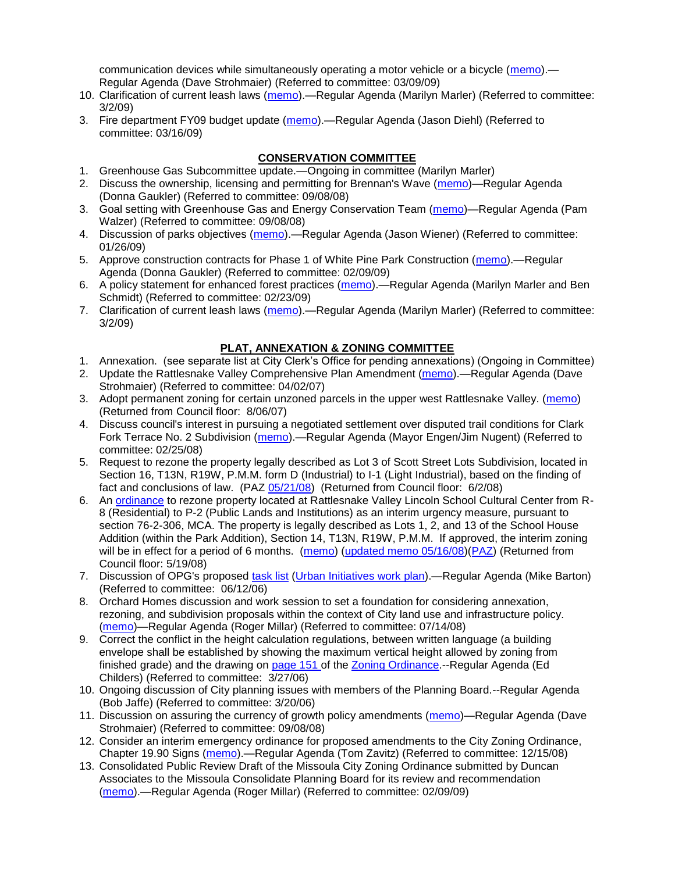communication devices while simultaneously operating a motor vehicle or a bicycle [\(memo\)](ftp://ftp.ci.missoula.mt.us/Packets/Council/2009/2009-03-09/Referrals/CellPhonesReferral.pdf).— Regular Agenda (Dave Strohmaier) (Referred to committee: 03/09/09)

- 10. Clarification of current leash laws [\(memo\)](ftp://ftp.ci.missoula.mt.us/Packets/Council/2009/2009-03-02/Referrals/leash_law_discussion_referral.pdf).—Regular Agenda (Marilyn Marler) (Referred to committee: 3/2/09)
- 3. Fire department FY09 budget update [\(memo\)](ftp://ftp.ci.missoula.mt.us/Packets/Council/2009/2009-03-16/Referrals/FireDeptFY09BudgetUpdateRef.pdf).—Regular Agenda (Jason Diehl) (Referred to committee: 03/16/09)

# **CONSERVATION COMMITTEE**

- 1. Greenhouse Gas Subcommittee update.—Ongoing in committee (Marilyn Marler)
- 2. Discuss the ownership, licensing and permitting for Brennan's Wave [\(memo\)](ftp://ftp.ci.missoula.mt.us/Packets/Council/2008/2008-09-08/Referrals/ReferralBrennansWaveLicensing.pdf)—Regular Agenda (Donna Gaukler) (Referred to committee: 09/08/08)
- 3. Goal setting with Greenhouse Gas and Energy Conservation Team [\(memo\)](ftp://ftp.ci.missoula.mt.us/Packets/Council/2008/2008-09-08/Referrals/GGECTdialog.pdf)—Regular Agenda (Pam Walzer) (Referred to committee: 09/08/08)
- 4. Discussion of parks objectives [\(memo\)](ftp://ftp.ci.missoula.mt.us/Packets/Council/2009/2009-01-26/Referrals/parks_projects_referral.pdf).—Regular Agenda (Jason Wiener) (Referred to committee: 01/26/09)
- 5. Approve construction contracts for Phase 1 of White Pine Park Construction [\(memo\)](ftp://ftp.ci.missoula.mt.us/Packets/Council/2009/2009-02-09/Referrals/ReferralWhitePinePark/(2/).pdf).—Regular Agenda (Donna Gaukler) (Referred to committee: 02/09/09)
- 6. A policy statement for enhanced forest practices [\(memo\)](ftp://ftp.ci.missoula.mt.us/Packets/Council/2009/2009-02-23/Referrals/Forest_Practices_Referral.pdf).—Regular Agenda (Marilyn Marler and Ben Schmidt) (Referred to committee: 02/23/09)
- 7. Clarification of current leash laws [\(memo\)](ftp://ftp.ci.missoula.mt.us/Packets/Council/2009/2009-03-02/Referrals/leash_law_discussion_referral.pdf).—Regular Agenda (Marilyn Marler) (Referred to committee: 3/2/09)

# **PLAT, ANNEXATION & ZONING COMMITTEE**

- 1. Annexation. (see separate list at City Clerk's Office for pending annexations) (Ongoing in Committee)
- 2. Update the Rattlesnake Valley Comprehensive Plan Amendment [\(memo\)](ftp://ftp.ci.missoula.mt.us/Packets/Council/2007/2007-04-02/Referrals/Rattlesnake_Plan_Update_referral.pdf).—Regular Agenda (Dave Strohmaier) (Referred to committee: 04/02/07)
- 3. Adopt permanent zoning for certain unzoned parcels in the upper west Rattlesnake Valley. [\(memo\)](ftp://ftp.ci.missoula.mt.us/Packets/Council/2007/2007-03-26/Referrals/P-1_zoning_ref.htm) (Returned from Council floor: 8/06/07)
- 4. Discuss council's interest in pursuing a negotiated settlement over disputed trail conditions for Clark Fork Terrace No. 2 Subdivision [\(memo\)](ftp://ftp.ci.missoula.mt.us/Packets/Council/2008/2008-02-25/Referrals/Clark_Fork_Terrace_2.pdf).—Regular Agenda (Mayor Engen/Jim Nugent) (Referred to committee: 02/25/08)
- 5. Request to rezone the property legally described as Lot 3 of Scott Street Lots Subdivision, located in Section 16, T13N, R19W, P.M.M. form D (Industrial) to I-1 (Light Industrial), based on the finding of fact and conclusions of law. (PAZ [05/21/08\)](ftp://ftp.ci.missoula.mt.us/Packets/Council/2008/2008-06-02/080521paz.pdf) (Returned from Council floor: 6/2/08)
- 6. An [ordinance](ftp://ftp.ci.missoula.mt.us/Packets/Council/2008/2008-05-19/Public_Hearings/LincolnSchoolInterimP-2ord.pdf) to rezone property located at Rattlesnake Valley Lincoln School Cultural Center from R-8 (Residential) to P-2 (Public Lands and Institutions) as an interim urgency measure, pursuant to section 76-2-306, MCA. The property is legally described as Lots 1, 2, and 13 of the School House Addition (within the Park Addition), Section 14, T13N, R19W, P.M.M. If approved, the interim zoning will be in effect for a period of 6 months. [\(memo\)](ftp://ftp.ci.missoula.mt.us/Packets/Council/2008/2008-05-19/Public_Hearings/LincolnSchoolInterimPermZonMemo.pdf) [\(updated memo 05/16/08\)](ftp://ftp.ci.missoula.mt.us/Packets/Council/2008/2008-05-19/Public_Hearings/LincolnSchoolInterimPermZonMemo.pdf)[\(PAZ\)](ftp://ftp.ci.missoula.mt.us/Packets/Council/2008/2008-05-12/080507paz.htm) (Returned from Council floor: 5/19/08)
- 7. Discussion of OPG's proposed [task list](ftp://ftp.ci.missoula.mt.us/Packets/Council/2008/2008-07-07/UITaskList.pdf) [\(Urban Initiatives work plan\)](ftp://ftp.ci.missoula.mt.us/Packets/Council/2006/2006-06-12/Referrals/Urban_Init.htm).—Regular Agenda (Mike Barton) (Referred to committee: 06/12/06)
- 8. Orchard Homes discussion and work session to set a foundation for considering annexation, rezoning, and subdivision proposals within the context of City land use and infrastructure policy. [\(memo\)](ftp://ftp.ci.missoula.mt.us/Packets/Council/2008/2008-07-14/Referrals/OrchardHomesDiscMemo.pdf)—Regular Agenda (Roger Millar) (Referred to committee: 07/14/08)
- 9. Correct the conflict in the height calculation regulations, between written language (a building envelope shall be established by showing the maximum vertical height allowed by zoning from finished grade) and the drawing on [page 151 o](ftp://www.co.missoula.mt.us/opg2/Documents/CurrentRegulations/CityZoningTitle19/CH19.67Hillside.pdf)f the [Zoning Ordinance.](ftp://www.co.missoula.mt.us/opg2/Documents/CurrentRegulations/CityZoningTitle19/CityOrdinanceLP.htm)--Regular Agenda (Ed Childers) (Referred to committee: 3/27/06)
- 10. Ongoing discussion of City planning issues with members of the Planning Board.--Regular Agenda (Bob Jaffe) (Referred to committee: 3/20/06)
- 11. Discussion on assuring the currency of growth policy amendments [\(memo\)](ftp://ftp.ci.missoula.mt.us/Packets/Council/2008/2008-09-08/Referrals/Plan_updates.pdf)—Regular Agenda (Dave Strohmaier) (Referred to committee: 09/08/08)
- 12. Consider an interim emergency ordinance for proposed amendments to the City Zoning Ordinance, Chapter 19.90 Signs [\(memo\)](ftp://ftp.ci.missoula.mt.us/Packets/Council/2008/2008-12-15/Referrals/ElectronicSignOrdinanceMemo.pdf).—Regular Agenda (Tom Zavitz) (Referred to committee: 12/15/08)
- 13. Consolidated Public Review Draft of the Missoula City Zoning Ordinance submitted by Duncan Associates to the Missoula Consolidate Planning Board for its review and recommendation [\(memo\)](ftp://ftp.ci.missoula.mt.us/Packets/Council/2009/2009-02-09/Referrals/CodeRewritetoPBMemo.pdf).—Regular Agenda (Roger Millar) (Referred to committee: 02/09/09)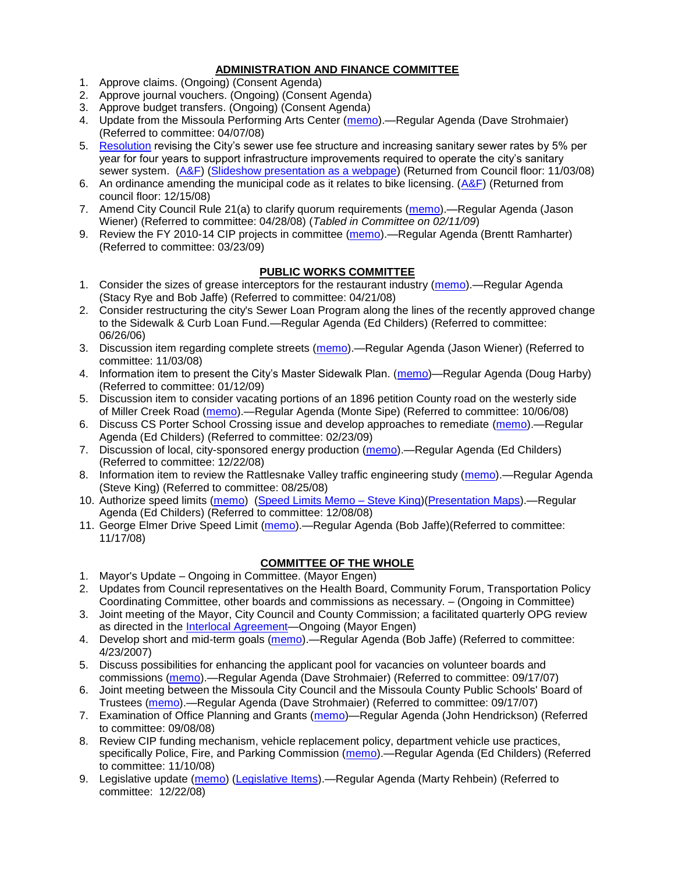# **ADMINISTRATION AND FINANCE COMMITTEE**

- 1. Approve claims. (Ongoing) (Consent Agenda)
- 2. Approve journal vouchers. (Ongoing) (Consent Agenda)
- 3. Approve budget transfers. (Ongoing) (Consent Agenda)
- 4. Update from the Missoula Performing Arts Center [\(memo\)](ftp://ftp.ci.missoula.mt.us/Packets/Council/2008/2008-04-07/Referrals/Performing_Arts_Center.pdf).—Regular Agenda (Dave Strohmaier) (Referred to committee: 04/07/08)
- 5. [Resolution](ftp://ftp.ci.missoula.mt.us/Packets/Council/2008/2008-09-22/referrals/Sewerrateresolution.pdf) revising the City's sewer use fee structure and increasing sanitary sewer rates by 5% per year for four years to support infrastructure improvements required to operate the city's sanitary sewer system. [\(A&F\)](ftp://ftp.ci.missoula.mt.us/Packets/Council/2008/2008-10-06/081001af.pdf) [\(Slideshow presentation as a webpage\)](ftp://ftp.ci.missoula.mt.us/Packets/Council/2008/2008-11-03/2008-11-03SewerUserRateIncrease_files/frame.htm) (Returned from Council floor: 11/03/08)
- 6. An ordinance amending the municipal code as it relates to bike licensing.  $(A&F)$  (Returned from council floor: 12/15/08)
- 7. Amend City Council Rule 21(a) to clarify quorum requirements [\(memo\)](ftp://ftp.ci.missoula.mt.us/Packets/Council/2008/2008-04-28/Referrals/CouncilRule21aReferral.pdf).—Regular Agenda (Jason Wiener) (Referred to committee: 04/28/08) (*Tabled in Committee on 02/11/09*)
- 9. Review the FY 2010-14 CIP projects in committee [\(memo\)](ftp://ftp.ci.missoula.mt.us/Packets/Council/2009/2009-03-23/Referrals/RefAFCIPBudgetReviewFY2010-2014CIP.pdf).—Regular Agenda (Brentt Ramharter) (Referred to committee: 03/23/09)

# **PUBLIC WORKS COMMITTEE**

- 1. Consider the sizes of grease interceptors for the restaurant industry [\(memo\)](ftp://ftp.ci.missoula.mt.us/Packets/Council/2008/2008-04-21/Referrals/Industrial_waste_restaurants.pdf).—Regular Agenda (Stacy Rye and Bob Jaffe) (Referred to committee: 04/21/08)
- 2. Consider restructuring the city's Sewer Loan Program along the lines of the recently approved change to the Sidewalk & Curb Loan Fund.—Regular Agenda (Ed Childers) (Referred to committee: 06/26/06)
- 3. Discussion item regarding complete streets [\(memo\)](ftp://ftp.ci.missoula.mt.us/Packets/Council/2008/2008-11-03/Referrals/completestreetsreferral.pdf).—Regular Agenda (Jason Wiener) (Referred to committee: 11/03/08)
- 4. Information item to present the City's Master Sidewalk Plan. [\(memo\)](ftp://ftp.ci.missoula.mt.us/packets/council/2009/2009-01-12/Referrals/MstrSdwlkPlnREF.pdf)—Regular Agenda (Doug Harby) (Referred to committee: 01/12/09)
- 5. Discussion item to consider vacating portions of an 1896 petition County road on the westerly side of Miller Creek Road [\(memo\)](ftp://ftp.ci.missoula.mt.us/packets/council/2008/2008-10-06/Referrals/MllrCkROWVacREF.pdf).—Regular Agenda (Monte Sipe) (Referred to committee: 10/06/08)
- 6. Discuss CS Porter School Crossing issue and develop approaches to remediate [\(memo\)](ftp://ftp.ci.missoula.mt.us/Packets/Council/2009/2009-02-23/Referrals/ReferralCSPorter.pdf).—Regular Agenda (Ed Childers) (Referred to committee: 02/23/09)
- 7. Discussion of local, city-sponsored energy production [\(memo\)](ftp://ftp.ci.missoula.mt.us/Packets/Council/2008/2008-12-22/Referrals/LocaLPowerReferral.pdf).—Regular Agenda (Ed Childers) (Referred to committee: 12/22/08)
- 8. Information item to review the Rattlesnake Valley traffic engineering study [\(memo\)](ftp://ftp.ci.missoula.mt.us/packets/council/2008/2008-08-25/Referrals/RsnakeTrfficStudyREF.pdf).—Regular Agenda (Steve King) (Referred to committee: 08/25/08)
- 10. Authorize speed limits [\(memo\)](ftp://ftp.ci.missoula.mt.us/Packets/Council/2008/2008-12-08/Referrals/ReferralAuthorizeSpeedLimits.pdf) (Speed Limits Memo Steve King)[\(Presentation Maps\)](ftp://ftp.ci.missoula.mt.us/packets/council/2009/2009-01-05/Referrals/SpeedPresentation.pdf).-Regular Agenda (Ed Childers) (Referred to committee: 12/08/08)
- 11. George Elmer Drive Speed Limit [\(memo\)](ftp://ftp.ci.missoula.mt.us/Packets/Council/2008/2008-11-17/Referrals/GeorgeElmerSpeedLimit.pdf).—Regular Agenda (Bob Jaffe)(Referred to committee: 11/17/08)

### **COMMITTEE OF THE WHOLE**

- 1. Mayor's Update Ongoing in Committee. (Mayor Engen)
- 2. Updates from Council representatives on the Health Board, Community Forum, Transportation Policy Coordinating Committee, other boards and commissions as necessary. – (Ongoing in Committee)
- 3. Joint meeting of the Mayor, City Council and County Commission; a facilitated quarterly OPG review as directed in the **Interlocal Agreement**—Ongoing (Mayor Engen)
- 4. Develop short and mid-term goals [\(memo\)](ftp://ftp.ci.missoula.mt.us/Packets/Council/2007/2007-04-23/Referrals/Council_Goals.pdf).—Regular Agenda (Bob Jaffe) (Referred to committee: 4/23/2007)
- 5. Discuss possibilities for enhancing the applicant pool for vacancies on volunteer boards and commissions [\(memo\)](ftp://ftp.ci.missoula.mt.us/Packets/Council/2007/2007-09-17/Referrals/board_and_commission_recruitment.pdf).—Regular Agenda (Dave Strohmaier) (Referred to committee: 09/17/07)
- 6. Joint meeting between the Missoula City Council and the Missoula County Public Schools' Board of Trustees [\(memo\)](ftp://ftp.ci.missoula.mt.us/Packets/Council/2007/2007-09-17/Referrals/Council_School_Board_referral.pdf).—Regular Agenda (Dave Strohmaier) (Referred to committee: 09/17/07)
- 7. Examination of Office Planning and Grants [\(memo\)](ftp://ftp.ci.missoula.mt.us/Packets/Council/2008/2008-09-08/Referrals/080825HendricksonOPGreferral.pdf)—Regular Agenda (John Hendrickson) (Referred to committee: 09/08/08)
- 8. Review CIP funding mechanism, vehicle replacement policy, department vehicle use practices, specifically Police, Fire, and Parking Commission [\(memo\)](ftp://ftp.ci.missoula.mt.us/Packets/Council/2008/2008-11-10/Referrals/ReviewBudgetary.pdf).—Regular Agenda (Ed Childers) (Referred to committee: 11/10/08)
- 9. Legislative update [\(memo\)](ftp://ftp.ci.missoula.mt.us/Packets/Council/2008/2008-12-22/Referrals/LegislativeUpdate.pdf) [\(Legislative Items\)](https://missoulagov.sharepointsite.net/Public/Public.aspx).—Regular Agenda (Marty Rehbein) (Referred to committee: 12/22/08)